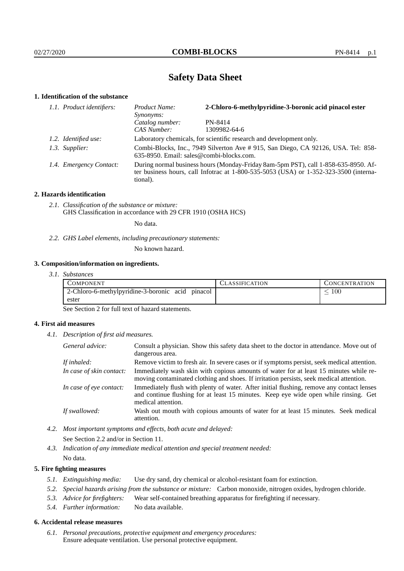# **Safety Data Sheet**

## **1. Identification of the substance**

| 1.1. Product identifiers: | Product Name:<br>Synonyms:                                                                                                                                                                  | 2-Chloro-6-methylpyridine-3-boronic acid pinacol ester |  |
|---------------------------|---------------------------------------------------------------------------------------------------------------------------------------------------------------------------------------------|--------------------------------------------------------|--|
|                           | Catalog number:                                                                                                                                                                             | PN-8414                                                |  |
|                           | CAS Number:                                                                                                                                                                                 | 1309982-64-6                                           |  |
| 1.2. Identified use:      | Laboratory chemicals, for scientific research and development only.                                                                                                                         |                                                        |  |
| 1.3. Supplier:            | Combi-Blocks, Inc., 7949 Silverton Ave # 915, San Diego, CA 92126, USA. Tel: 858-<br>635-8950. Email: sales@combi-blocks.com.                                                               |                                                        |  |
| 1.4. Emergency Contact:   | During normal business hours (Monday-Friday 8am-5pm PST), call 1-858-635-8950. Af-<br>ter business hours, call Infotrac at $1-800-535-5053$ (USA) or $1-352-323-3500$ (interna-<br>tional). |                                                        |  |

### **2. Hazards identification**

*2.1. Classification of the substance or mixture:* GHS Classification in accordance with 29 CFR 1910 (OSHA HCS)

No data.

*2.2. GHS Label elements, including precautionary statements:*

No known hazard.

## **3. Composition/information on ingredients.**

*3.1. Substances*

| COMPONENT                                        | ULASSIFICATION | CONCENTR ATION |
|--------------------------------------------------|----------------|----------------|
| 2-Chloro-6-methylpyridine-3-boronic acid pinacol |                | 100            |
| ester                                            |                |                |

See Section 2 for full text of hazard statements.

## **4. First aid measures**

*4.1. Description of first aid measures.*

| General advice:          | Consult a physician. Show this safety data sheet to the doctor in attendance. Move out of<br>dangerous area.                                                                                            |
|--------------------------|---------------------------------------------------------------------------------------------------------------------------------------------------------------------------------------------------------|
| If inhaled:              | Remove victim to fresh air. In severe cases or if symptoms persist, seek medical attention.                                                                                                             |
| In case of skin contact: | Immediately wash skin with copious amounts of water for at least 15 minutes while re-<br>moving contaminated clothing and shoes. If irritation persists, seek medical attention.                        |
| In case of eye contact:  | Immediately flush with plenty of water. After initial flushing, remove any contact lenses<br>and continue flushing for at least 15 minutes. Keep eye wide open while rinsing. Get<br>medical attention. |
| If swallowed:            | Wash out mouth with copious amounts of water for at least 15 minutes. Seek medical<br>attention.                                                                                                        |

*4.2. Most important symptoms and effects, both acute and delayed:*

See Section 2.2 and/or in Section 11.

*4.3. Indication of any immediate medical attention and special treatment needed:*

No data.

## **5. Fire fighting measures**

- *5.1. Extinguishing media:* Use dry sand, dry chemical or alcohol-resistant foam for extinction.
- *5.2. Special hazards arising from the substance or mixture:* Carbon monoxide, nitrogen oxides, hydrogen chloride.
- *5.3. Advice for firefighters:* Wear self-contained breathing apparatus for firefighting if necessary.
- *5.4. Further information:* No data available.

### **6. Accidental release measures**

*6.1. Personal precautions, protective equipment and emergency procedures:* Ensure adequate ventilation. Use personal protective equipment.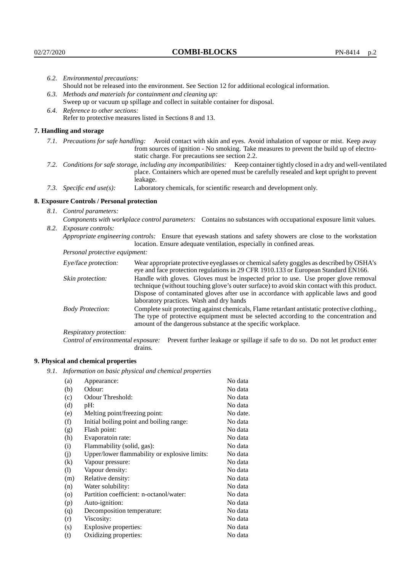| 6.2. Environmental precautions:                                                                                                                                                                                                                                    |                                                                                                                                                                                                                                                                                                                        |  |  |
|--------------------------------------------------------------------------------------------------------------------------------------------------------------------------------------------------------------------------------------------------------------------|------------------------------------------------------------------------------------------------------------------------------------------------------------------------------------------------------------------------------------------------------------------------------------------------------------------------|--|--|
| Should not be released into the environment. See Section 12 for additional ecological information.                                                                                                                                                                 |                                                                                                                                                                                                                                                                                                                        |  |  |
|                                                                                                                                                                                                                                                                    | 6.3. Methods and materials for containment and cleaning up:                                                                                                                                                                                                                                                            |  |  |
|                                                                                                                                                                                                                                                                    | Sweep up or vacuum up spillage and collect in suitable container for disposal.                                                                                                                                                                                                                                         |  |  |
| 6.4. Reference to other sections:                                                                                                                                                                                                                                  |                                                                                                                                                                                                                                                                                                                        |  |  |
| Refer to protective measures listed in Sections 8 and 13.                                                                                                                                                                                                          |                                                                                                                                                                                                                                                                                                                        |  |  |
| 7. Handling and storage                                                                                                                                                                                                                                            |                                                                                                                                                                                                                                                                                                                        |  |  |
| 7.1. Precautions for safe handling: Avoid contact with skin and eyes. Avoid inhalation of vapour or mist. Keep away<br>from sources of ignition - No smoking. Take measures to prevent the build up of electro-<br>static charge. For precautions see section 2.2. |                                                                                                                                                                                                                                                                                                                        |  |  |
| 7.2. Conditions for safe storage, including any incompatibilities: Keep container tightly closed in a dry and well-ventilated<br>place. Containers which are opened must be carefully resealed and kept upright to prevent<br>leakage.                             |                                                                                                                                                                                                                                                                                                                        |  |  |
| 7.3. Specific end $use(s)$ :                                                                                                                                                                                                                                       | Laboratory chemicals, for scientific research and development only.                                                                                                                                                                                                                                                    |  |  |
| 8. Exposure Controls / Personal protection                                                                                                                                                                                                                         |                                                                                                                                                                                                                                                                                                                        |  |  |
| 8.1. Control parameters:                                                                                                                                                                                                                                           |                                                                                                                                                                                                                                                                                                                        |  |  |
| Components with workplace control parameters: Contains no substances with occupational exposure limit values.                                                                                                                                                      |                                                                                                                                                                                                                                                                                                                        |  |  |
| 8.2. Exposure controls:                                                                                                                                                                                                                                            |                                                                                                                                                                                                                                                                                                                        |  |  |
|                                                                                                                                                                                                                                                                    | Appropriate engineering controls: Ensure that eyewash stations and safety showers are close to the workstation<br>location. Ensure adequate ventilation, especially in confined areas.                                                                                                                                 |  |  |
| Personal protective equipment:                                                                                                                                                                                                                                     |                                                                                                                                                                                                                                                                                                                        |  |  |
| Eye/face protection:                                                                                                                                                                                                                                               | Wear appropriate protective eyeglasses or chemical safety goggles as described by OSHA's<br>eye and face protection regulations in 29 CFR 1910.133 or European Standard EN166.                                                                                                                                         |  |  |
| Skin protection:                                                                                                                                                                                                                                                   | Handle with gloves. Gloves must be inspected prior to use. Use proper glove removal<br>technique (without touching glove's outer surface) to avoid skin contact with this product.<br>Dispose of contaminated gloves after use in accordance with applicable laws and good<br>laboratory practices. Wash and dry hands |  |  |
| <b>Body Protection:</b>                                                                                                                                                                                                                                            | Complete suit protecting against chemicals, Flame retardant antistatic protective clothing.,<br>The type of protective equipment must be selected according to the concentration and<br>amount of the dangerous substance at the specific workplace.                                                                   |  |  |
| Respiratory protection:                                                                                                                                                                                                                                            |                                                                                                                                                                                                                                                                                                                        |  |  |

Control of environmental exposure: Prevent further leakage or spillage if safe to do so. Do not let product enter drains.

# **9. Physical and chemical properties**

*9.1. Information on basic physical and chemical properties*

| (a)                        | Appearance:                                   | No data  |
|----------------------------|-----------------------------------------------|----------|
| (b)                        | Odour:                                        | No data  |
| (c)                        | Odour Threshold:                              | No data  |
| (d)                        | pH:                                           | No data  |
| (e)                        | Melting point/freezing point:                 | No date. |
| (f)                        | Initial boiling point and boiling range:      | No data  |
| (g)                        | Flash point:                                  | No data  |
| (h)                        | Evaporatoin rate:                             | No data  |
| (i)                        | Flammability (solid, gas):                    | No data  |
| (j)                        | Upper/lower flammability or explosive limits: | No data  |
| $\left( k\right)$          | Vapour pressure:                              | No data  |
| $\left( \mathrm{l}\right)$ | Vapour density:                               | No data  |
| (m)                        | Relative density:                             | No data  |
| (n)                        | Water solubility:                             | No data  |
| $\circ$                    | Partition coefficient: n-octanol/water:       | No data  |
| (p)                        | Auto-ignition:                                | No data  |
| (q)                        | Decomposition temperature:                    | No data  |
| (r)                        | Viscosity:                                    | No data  |
| (s)                        | Explosive properties:                         | No data  |
| (t)                        | Oxidizing properties:                         | No data  |